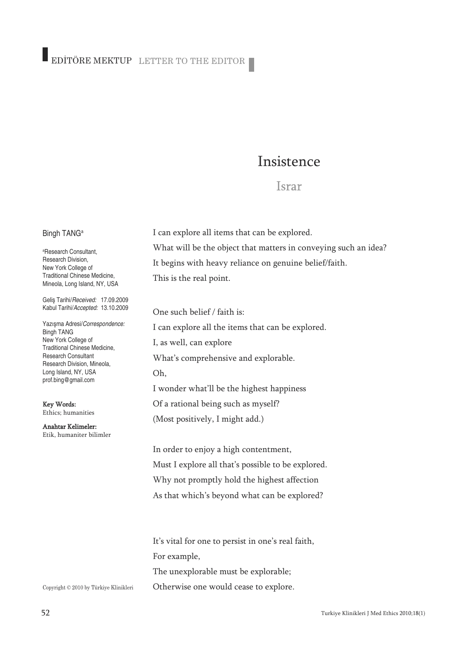# Insistence

## **Israr**

### Bingh TANG<sup>a</sup>

a Research Consultant, Research Division, New York College of Traditional Chinese Medicine, Mineola, Long Island, NY, USA

Geliş Tarihi/*Received:* 17.09.2009 Kabul Tarihi/*Accepted:* 13.10.2009

Yazışma Adresi/*Correspondence:* Bingh TANG New York College of Traditional Chinese Medicine, Research Consultant Research Division, Mineola, Long Island, NY, USA prof.bing@gmail.com

Key Words: Ethics; humanities

Anahtar Kelimeler: Etik, humaniter bilimler

Copyright © 2010 by Türkiye Klinikleri

I can explore all items that can be explored. What will be the object that matters in conveying such an idea? It begins with heavy reliance on genuine belief/faith. This is the real point.

One such belief / faith is: I can explore all the items that can be explored. I, as well, can explore What's comprehensive and explorable. Oh, I wonder what'll be the highest happiness Of a rational being such as myself? (Most positively, I might add.)

In order to enjoy a high contentment, Must I explore all that's possible to be explored. Why not promptly hold the highest affection As that which's beyond what can be explored?

It's vital for one to persist in one's real faith, For example, The unexplorable must be explorable; Otherwise one would cease to explore.